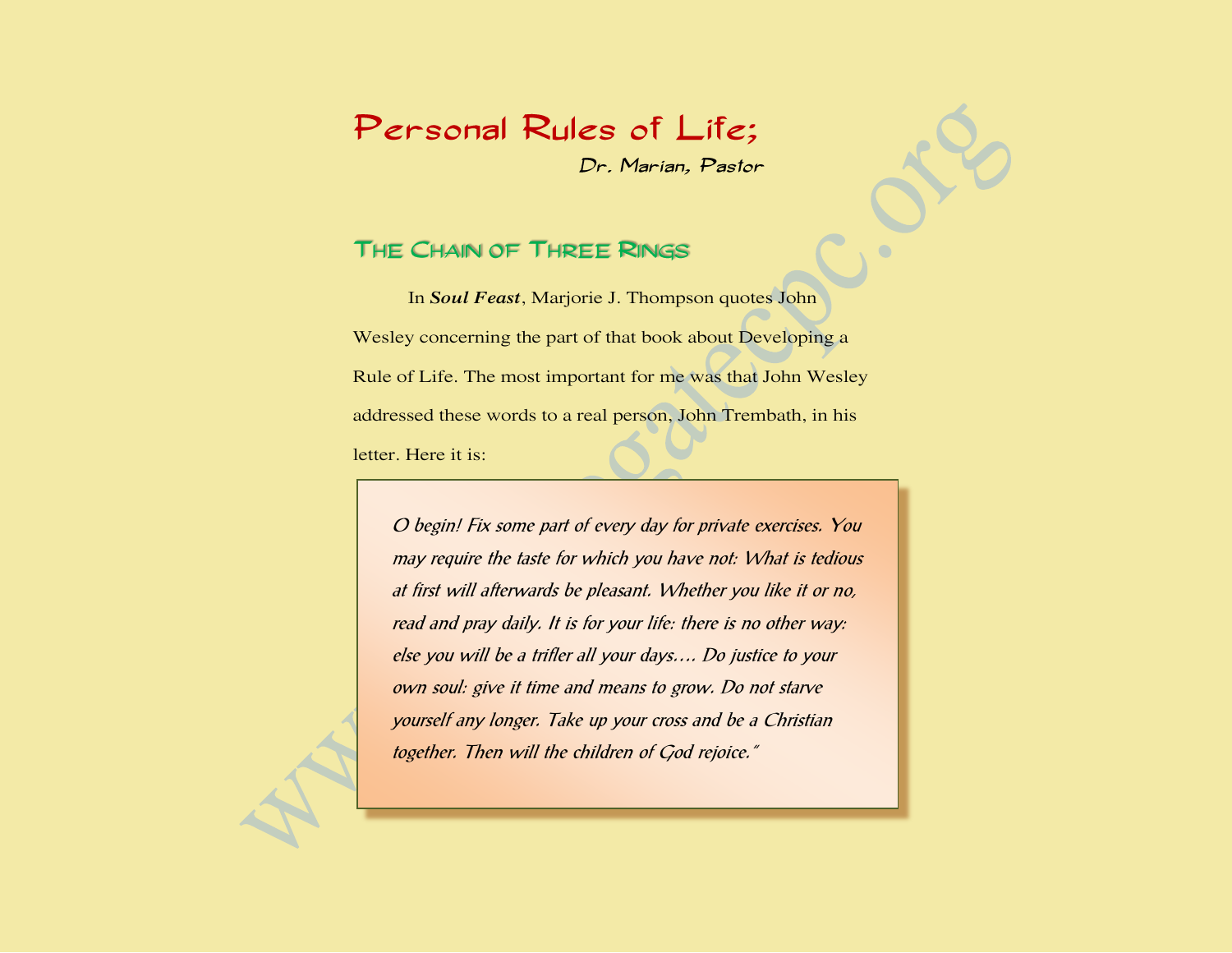# Personal Rules of Life;

Dr. Marian, Pastor

### THE CHAIN OF THREE RINGS

In *Soul Feast*, Marjorie J. Thompson quotes John Wesley concerning the part of that book about Developing a Rule of Life. The most important for me was that John Wesley addressed these words to a real person, John Trembath, in his letter. Here it is:

O begin! Fix some part of every day for private exercises. You may require the taste for which you have not: What is tedious at first will afterwards be pleasant. Whether you like it or no, read and pray daily. It is for your life: there is no other way: else you will be a trifler all your days…. Do justice to your own soul: give it time and means to grow. Do not starve yourself any longer. Take up your cross and be a Christian together. Then will the children of God rejoice."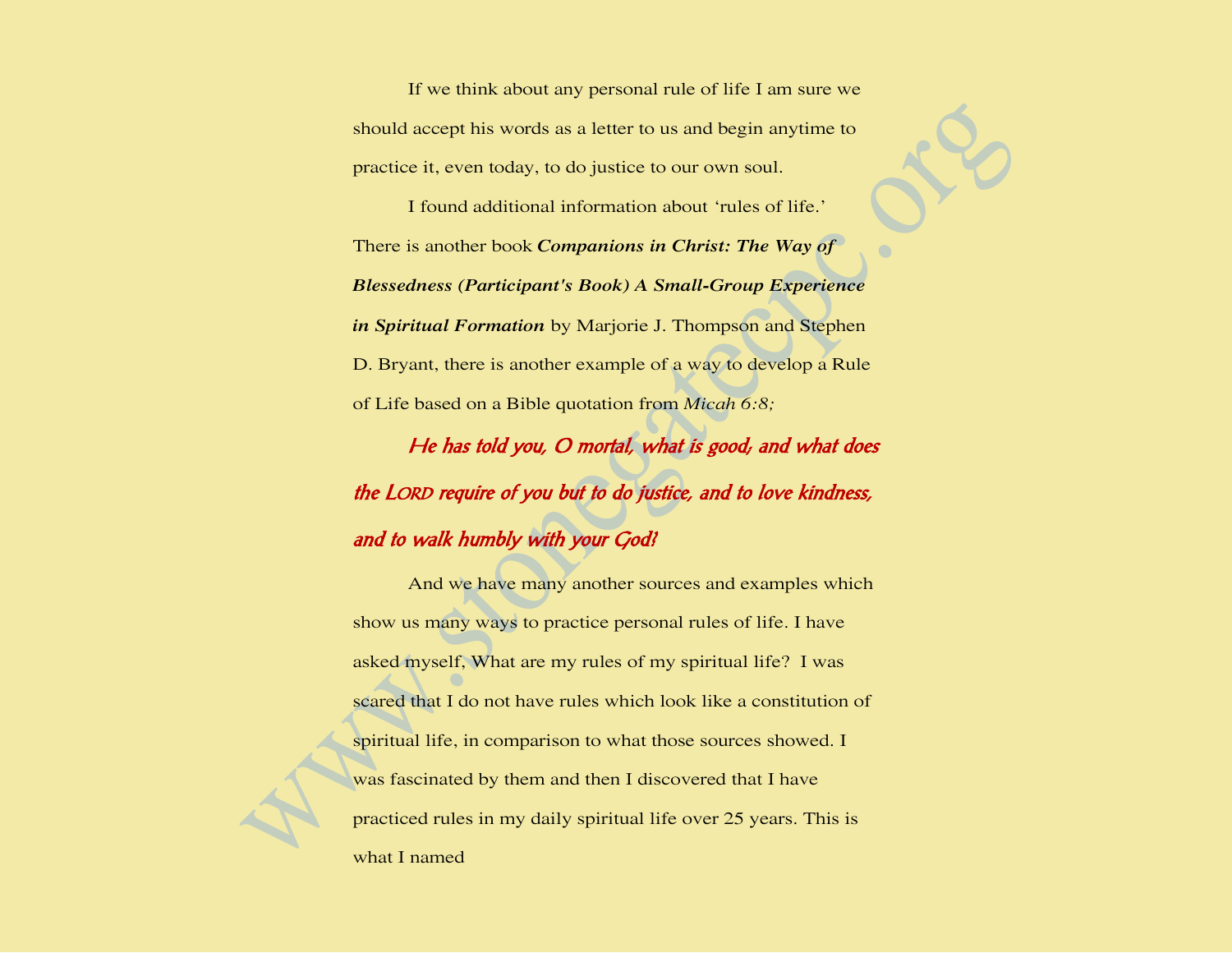If we think about any personal rule of life I am sure we should accept his words as a letter to us and begin anytime to practice it, even today, to do justice to our own soul.

I found additional information about 'rules of life.' There is another book *Companions in Christ: The Way of Blessedness (Participant's Book) A Small-Group Experience in Spiritual Formation* by Marjorie J. Thompson and Stephen D. Bryant, there is another example of a way to develop a Rule of Life based on a Bible quotation from *Micah 6:8;*

He has told you, O mortal, what is good; and what does the LORD require of you but to do justice, and to love kindness, and to walk humbly with your God?

And we have many another sources and examples which show us many ways to practice personal rules of life. I have asked myself, What are my rules of my spiritual life? I was scared that I do not have rules which look like a constitution of spiritual life, in comparison to what those sources showed. I was fascinated by them and then I discovered that I have practiced rules in my daily spiritual life over 25 years. This is what I named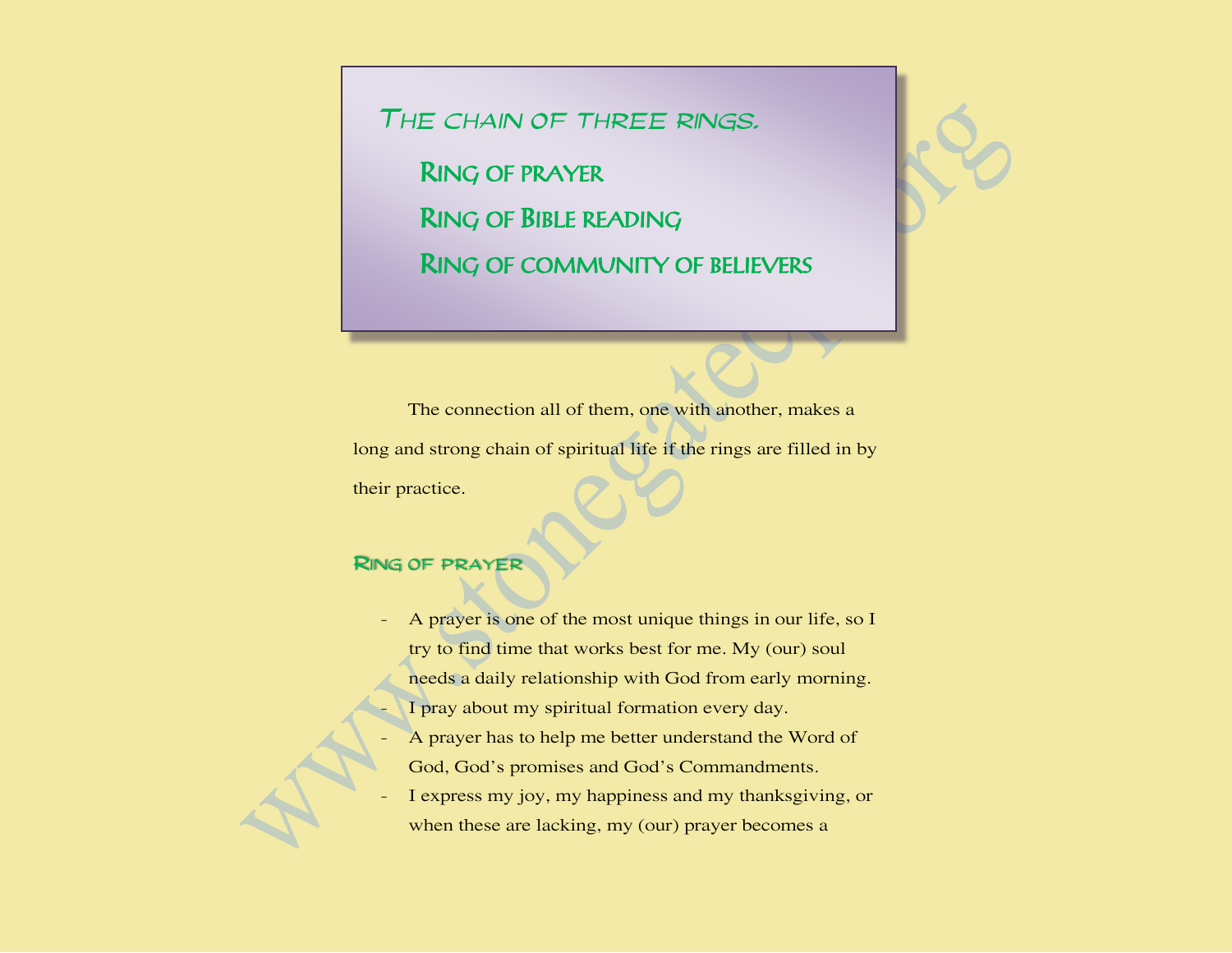THE CHAIN OF THREE RINGS.

RING OF PRAYER RING OF BIBLE READING RING OF COMMUNITY OF BELIEVERS

The connection all of them, one with another, makes a long and strong chain of spiritual life if the rings are filled in by their practice.

#### RING OF PRAYER

- A prayer is one of the most unique things in our life, so I try to find time that works best for me. My (our) soul needs a daily relationship with God from early morning. I pray about my spiritual formation every day.
- A prayer has to help me better understand the Word of God, God's promises and God's Commandments.
- I express my joy, my happiness and my thanksgiving, or when these are lacking, my (our) prayer becomes a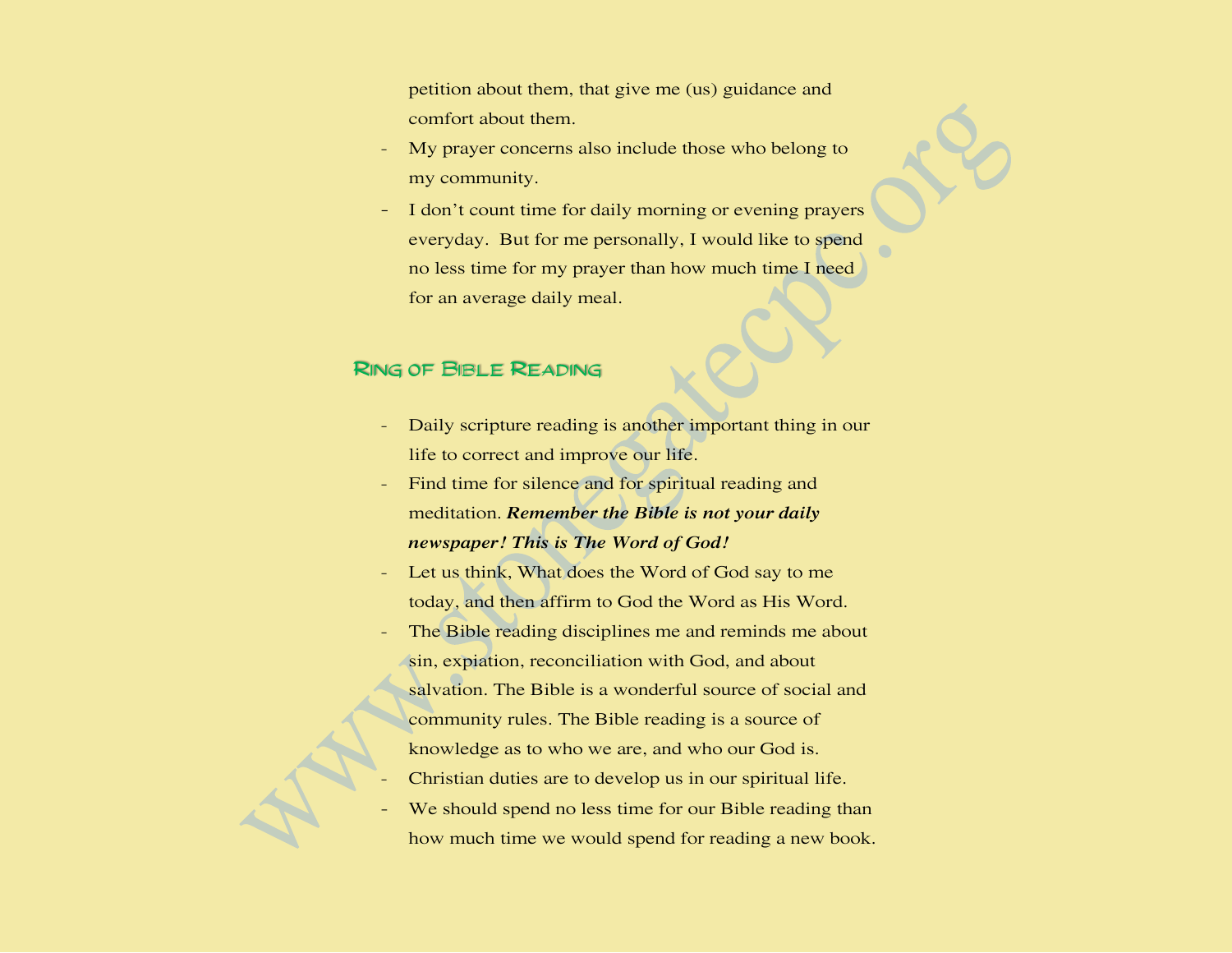petition about them, that give me (us) guidance and comfort about them.

- My prayer concerns also include those who belong to my community.
- I don't count time for daily morning or evening prayers everyday. But for me personally, I would like to spend no less time for my prayer than how much time I need for an average daily meal.

#### **RING OF BIBLE READING**

- Daily scripture reading is another important thing in our life to correct and improve our life.
- Find time for silence and for spiritual reading and meditation. *Remember the Bible is not your daily newspaper! This is The Word of God!*
- Let us think, What does the Word of God say to me today, and then affirm to God the Word as His Word.
- The Bible reading disciplines me and reminds me about sin, expiation, reconciliation with God, and about salvation. The Bible is a wonderful source of social and community rules. The Bible reading is a source of knowledge as to who we are, and who our God is.
- Christian duties are to develop us in our spiritual life.
- We should spend no less time for our Bible reading than how much time we would spend for reading a new book.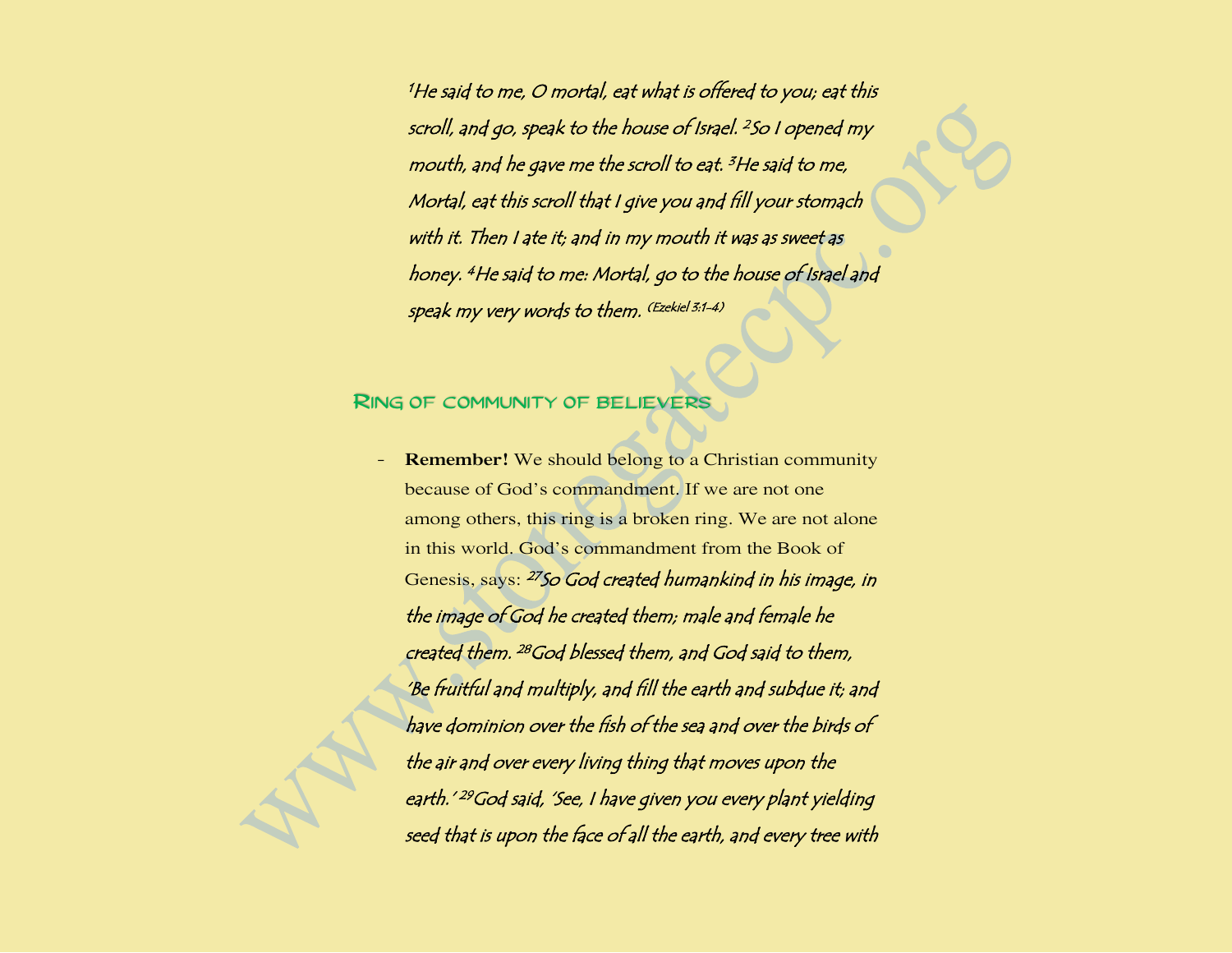<sup>1</sup>He said to me, O mortal, eat what is offered to you; eat this scroll, and go, speak to the house of Israel. <sup>2</sup> So I opened my mouth, and he gave me the scroll to eat. <sup>3</sup>He said to me, Mortal, eat this scroll that I give you and fill your stomach with it. Then I ate it; and in my mouth it was as sweet as honey. <sup>4</sup>He said to me: Mortal, go to the house of Israel and speak my very words to them. (Ezekiel 3:1-4)

#### RING OF COMMUNITY OF BELIEVERS

**Remember!** We should belong to a Christian community because of God's commandment. If we are not one among others, this ring is a broken ring. We are not alone in this world. God's commandment from the Book of Genesis, says: <sup>27</sup>So God created humankind in his image, in the image of God he created them; male and female he created them. <sup>28</sup>God blessed them, and God said to them, 'Be fruitful and multiply, and fill the earth and subdue it; and have dominion over the fish of the sea and over the birds of the air and over every living thing that moves upon the earth.' <sup>29</sup>God said, 'See, I have given you every plant yielding seed that is upon the face of all the earth, and every tree with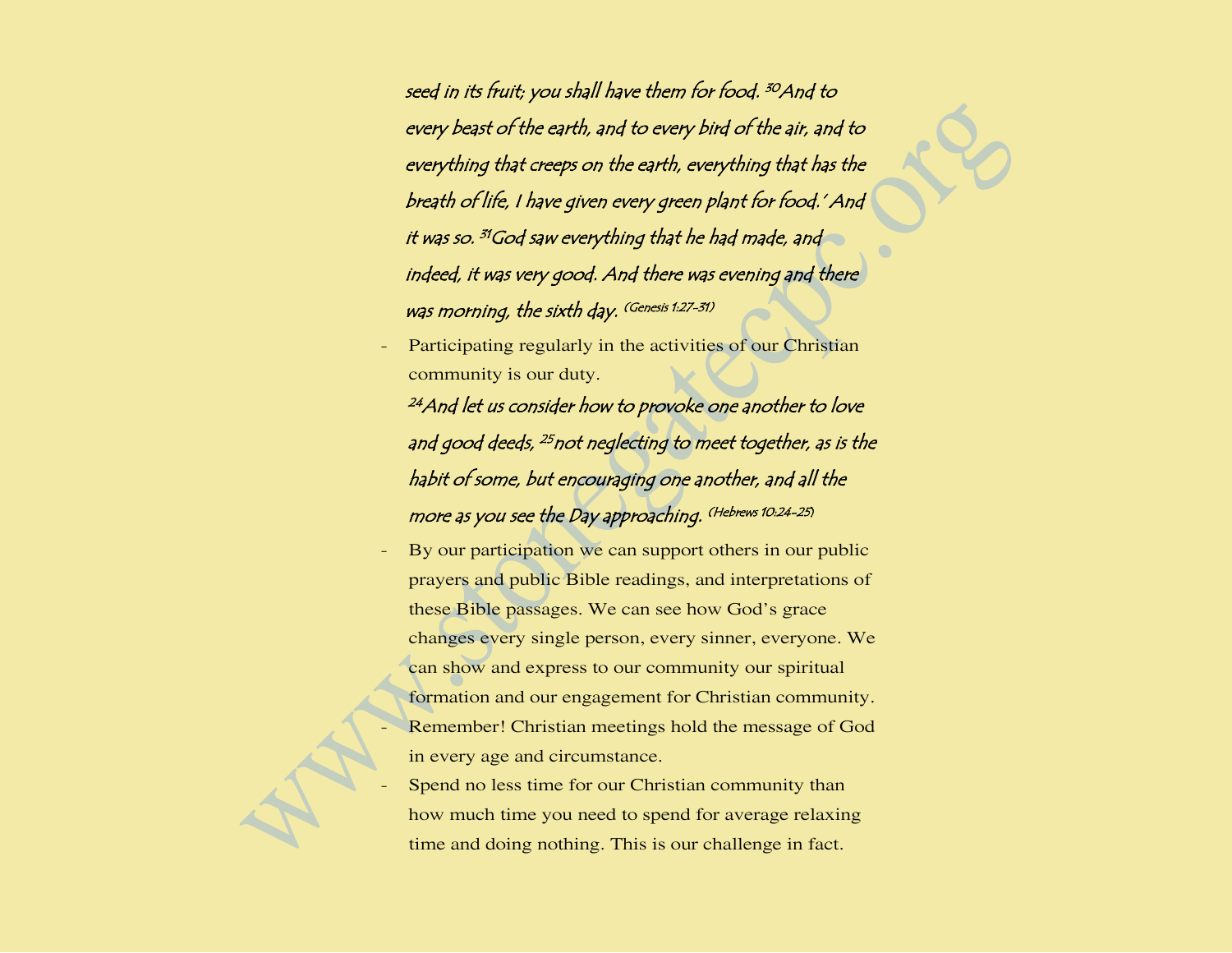seed in its fruit; you shall have them for food. <sup>30</sup>And to every beast of the earth, and to every bird of the air, and to everything that creeps on the earth, everything that has the breath of life, I have given every green plant for food.' And it was so. <sup>31</sup>God saw everything that he had made, and indeed, it was very good. And there was evening and there was morning, the sixth day. (Genesis 1:27-31)

Participating regularly in the activities of our Christian community is our duty.

<sup>24</sup> And let us consider how to provoke one another to love and good deeds, <sup>25</sup>not neglecting to meet together, as is the habit of some, but encouraging one another, and all the more as you see the Day approaching. (Hebrews 10:24-25)

- By our participation we can support others in our public prayers and public Bible readings, and interpretations of these Bible passages. We can see how God's grace changes every single person, every sinner, everyone. We can show and express to our community our spiritual formation and our engagement for Christian community. Remember! Christian meetings hold the message of God in every age and circumstance.
- Spend no less time for our Christian community than how much time you need to spend for average relaxing time and doing nothing. This is our challenge in fact.